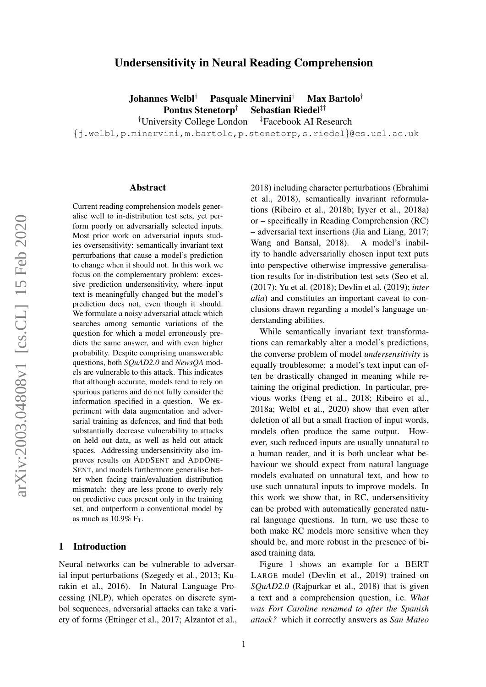# Undersensitivity in Neural Reading Comprehension

Johannes Welbl† Pasquale Minervini† Max Bartolo†

Pontus Stenetorp<sup>†</sup> Sebastian Riedel<sup>‡†</sup>

†University College London ‡Facebook AI Research

{j.welbl,p.minervini,m.bartolo,p.stenetorp,s.riedel}@cs.ucl.ac.uk

#### Abstract

Current reading comprehension models generalise well to in-distribution test sets, yet perform poorly on adversarially selected inputs. Most prior work on adversarial inputs studies oversensitivity: semantically invariant text perturbations that cause a model's prediction to change when it should not. In this work we focus on the complementary problem: excessive prediction undersensitivity, where input text is meaningfully changed but the model's prediction does not, even though it should. We formulate a noisy adversarial attack which searches among semantic variations of the question for which a model erroneously predicts the same answer, and with even higher probability. Despite comprising unanswerable questions, both *SQuAD2.0* and *NewsQA* models are vulnerable to this attack. This indicates that although accurate, models tend to rely on spurious patterns and do not fully consider the information specified in a question. We experiment with data augmentation and adversarial training as defences, and find that both substantially decrease vulnerability to attacks on held out data, as well as held out attack spaces. Addressing undersensitivity also improves results on ADDSENT and ADDONE-SENT, and models furthermore generalise better when facing train/evaluation distribution mismatch: they are less prone to overly rely on predictive cues present only in the training set, and outperform a conventional model by as much as  $10.9\%$  F<sub>1</sub>.

# 1 Introduction

Neural networks can be vulnerable to adversarial input perturbations (Szegedy et al., 2013; Kurakin et al., 2016). In Natural Language Processing (NLP), which operates on discrete symbol sequences, adversarial attacks can take a variety of forms (Ettinger et al., 2017; Alzantot et al.,

2018) including character perturbations (Ebrahimi et al., 2018), semantically invariant reformulations (Ribeiro et al., 2018b; Iyyer et al., 2018a) or – specifically in Reading Comprehension (RC) – adversarial text insertions (Jia and Liang, 2017; Wang and Bansal, 2018). A model's inability to handle adversarially chosen input text puts into perspective otherwise impressive generalisation results for in-distribution test sets (Seo et al. (2017); Yu et al. (2018); Devlin et al. (2019); *inter alia*) and constitutes an important caveat to conclusions drawn regarding a model's language understanding abilities.

While semantically invariant text transformations can remarkably alter a model's predictions, the converse problem of model *undersensitivity* is equally troublesome: a model's text input can often be drastically changed in meaning while retaining the original prediction. In particular, previous works (Feng et al., 2018; Ribeiro et al., 2018a; Welbl et al., 2020) show that even after deletion of all but a small fraction of input words, models often produce the same output. However, such reduced inputs are usually unnatural to a human reader, and it is both unclear what behaviour we should expect from natural language models evaluated on unnatural text, and how to use such unnatural inputs to improve models. In this work we show that, in RC, undersensitivity can be probed with automatically generated natural language questions. In turn, we use these to both make RC models more sensitive when they should be, and more robust in the presence of biased training data.

Figure 1 shows an example for a BERT LARGE model (Devlin et al., 2019) trained on *SQuAD2.0* (Rajpurkar et al., 2018) that is given a text and a comprehension question, i.e. *What was Fort Caroline renamed to after the Spanish attack?* which it correctly answers as *San Mateo*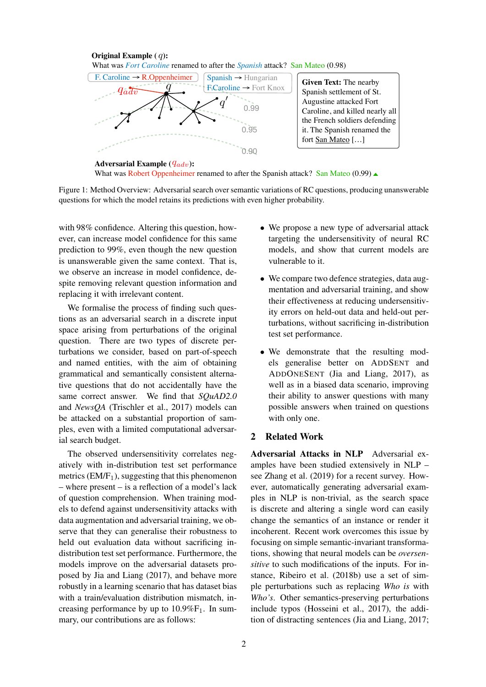

Adversarial Example ( $q_{adv}$ ):

What was Robert Oppenheimer renamed to after the Spanish attack? San Mateo (0.99)  $\triangle$ 

0.90

Figure 1: Method Overview: Adversarial search over semantic variations of RC questions, producing unanswerable questions for which the model retains its predictions with even higher probability.

with 98% confidence. Altering this question, however, can increase model confidence for this same prediction to 99%, even though the new question is unanswerable given the same context. That is, we observe an increase in model confidence, despite removing relevant question information and replacing it with irrelevant content.

We formalise the process of finding such questions as an adversarial search in a discrete input space arising from perturbations of the original question. There are two types of discrete perturbations we consider, based on part-of-speech and named entities, with the aim of obtaining grammatical and semantically consistent alternative questions that do not accidentally have the same correct answer. We find that *SQuAD2.0* and *NewsQA* (Trischler et al., 2017) models can be attacked on a substantial proportion of samples, even with a limited computational adversarial search budget.

The observed undersensitivity correlates negatively with in-distribution test set performance metrics ( $EM/F_1$ ), suggesting that this phenomenon – where present – is a reflection of a model's lack of question comprehension. When training models to defend against undersensitivity attacks with data augmentation and adversarial training, we observe that they can generalise their robustness to held out evaluation data without sacrificing indistribution test set performance. Furthermore, the models improve on the adversarial datasets proposed by Jia and Liang (2017), and behave more robustly in a learning scenario that has dataset bias with a train/evaluation distribution mismatch, increasing performance by up to  $10.9\%F_1$ . In summary, our contributions are as follows:

• We propose a new type of adversarial attack targeting the undersensitivity of neural RC models, and show that current models are vulnerable to it.

fort San Mateo [...]

- We compare two defence strategies, data augmentation and adversarial training, and show their effectiveness at reducing undersensitivity errors on held-out data and held-out perturbations, without sacrificing in-distribution test set performance.
- We demonstrate that the resulting models generalise better on ADDSENT and ADDONESENT (Jia and Liang, 2017), as well as in a biased data scenario, improving their ability to answer questions with many possible answers when trained on questions with only one.

## 2 Related Work

Adversarial Attacks in NLP Adversarial examples have been studied extensively in NLP – see Zhang et al. (2019) for a recent survey. However, automatically generating adversarial examples in NLP is non-trivial, as the search space is discrete and altering a single word can easily change the semantics of an instance or render it incoherent. Recent work overcomes this issue by focusing on simple semantic-invariant transformations, showing that neural models can be *oversensitive* to such modifications of the inputs. For instance, Ribeiro et al. (2018b) use a set of simple perturbations such as replacing *Who is* with *Who's*. Other semantics-preserving perturbations include typos (Hosseini et al., 2017), the addition of distracting sentences (Jia and Liang, 2017;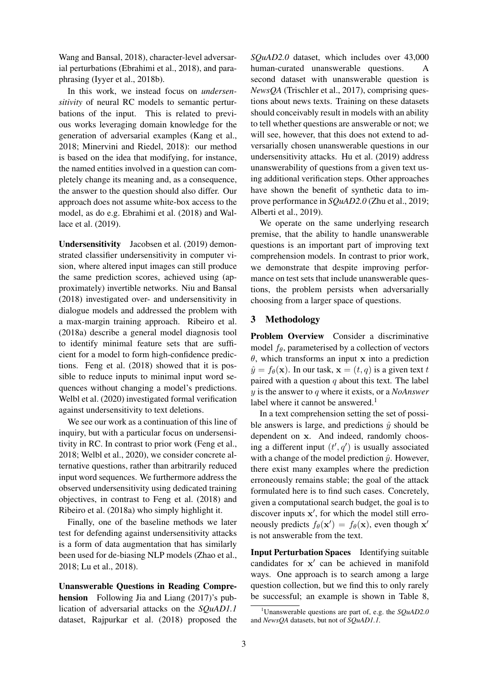Wang and Bansal, 2018), character-level adversarial perturbations (Ebrahimi et al., 2018), and paraphrasing (Iyyer et al., 2018b).

In this work, we instead focus on *undersensitivity* of neural RC models to semantic perturbations of the input. This is related to previous works leveraging domain knowledge for the generation of adversarial examples (Kang et al., 2018; Minervini and Riedel, 2018): our method is based on the idea that modifying, for instance, the named entities involved in a question can completely change its meaning and, as a consequence, the answer to the question should also differ. Our approach does not assume white-box access to the model, as do e.g. Ebrahimi et al. (2018) and Wallace et al. (2019).

Undersensitivity Jacobsen et al. (2019) demonstrated classifier undersensitivity in computer vision, where altered input images can still produce the same prediction scores, achieved using (approximately) invertible networks. Niu and Bansal (2018) investigated over- and undersensitivity in dialogue models and addressed the problem with a max-margin training approach. Ribeiro et al. (2018a) describe a general model diagnosis tool to identify minimal feature sets that are sufficient for a model to form high-confidence predictions. Feng et al. (2018) showed that it is possible to reduce inputs to minimal input word sequences without changing a model's predictions. Welbl et al. (2020) investigated formal verification against undersensitivity to text deletions.

We see our work as a continuation of this line of inquiry, but with a particular focus on undersensitivity in RC. In contrast to prior work (Feng et al., 2018; Welbl et al., 2020), we consider concrete alternative questions, rather than arbitrarily reduced input word sequences. We furthermore address the observed undersensitivity using dedicated training objectives, in contrast to Feng et al. (2018) and Ribeiro et al. (2018a) who simply highlight it.

Finally, one of the baseline methods we later test for defending against undersensitivity attacks is a form of data augmentation that has similarly been used for de-biasing NLP models (Zhao et al., 2018; Lu et al., 2018).

Unanswerable Questions in Reading Comprehension Following Jia and Liang (2017)'s publication of adversarial attacks on the *SQuAD1.1* dataset, Rajpurkar et al. (2018) proposed the

*SQuAD2.0* dataset, which includes over 43,000 human-curated unanswerable questions. A second dataset with unanswerable question is *NewsQA* (Trischler et al., 2017), comprising questions about news texts. Training on these datasets should conceivably result in models with an ability to tell whether questions are answerable or not; we will see, however, that this does not extend to adversarially chosen unanswerable questions in our undersensitivity attacks. Hu et al. (2019) address unanswerability of questions from a given text using additional verification steps. Other approaches have shown the benefit of synthetic data to improve performance in *SQuAD2.0* (Zhu et al., 2019; Alberti et al., 2019).

We operate on the same underlying research premise, that the ability to handle unanswerable questions is an important part of improving text comprehension models. In contrast to prior work, we demonstrate that despite improving performance on test sets that include unanswerable questions, the problem persists when adversarially choosing from a larger space of questions.

### 3 Methodology

Problem Overview Consider a discriminative model  $f_{\theta}$ , parameterised by a collection of vectors  $\theta$ , which transforms an input x into a prediction  $\hat{y} = f_{\theta}(\mathbf{x})$ . In our task,  $\mathbf{x} = (t, q)$  is a given text t paired with a question  $q$  about this text. The label y is the answer to q where it exists, or a *NoAnswer* label where it cannot be answered.<sup>1</sup>

In a text comprehension setting the set of possible answers is large, and predictions  $\hat{y}$  should be dependent on x. And indeed, randomly choosing a different input  $(t', q')$  is usually associated with a change of the model prediction  $\hat{y}$ . However, there exist many examples where the prediction erroneously remains stable; the goal of the attack formulated here is to find such cases. Concretely, given a computational search budget, the goal is to discover inputs  $x'$ , for which the model still erroneously predicts  $f_{\theta}(\mathbf{x}') = f_{\theta}(\mathbf{x})$ , even though  $\mathbf{x}'$ is not answerable from the text.

Input Perturbation Spaces Identifying suitable candidates for  $x'$  can be achieved in manifold ways. One approach is to search among a large question collection, but we find this to only rarely be successful; an example is shown in Table 8,

<sup>1</sup>Unanswerable questions are part of, e.g. the *SQuAD2.0* and *NewsQA* datasets, but not of *SQuAD1.1.*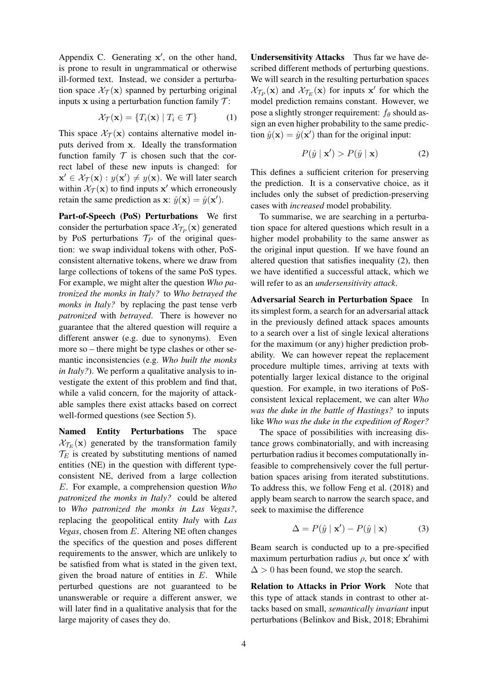Appendix C. Generating  $x'$ , on the other hand, is prone to result in ungrammatical or otherwise ill-formed text. Instead, we consider a perturbation space  $\mathcal{X}_{\mathcal{T}}(\mathbf{x})$  spanned by perturbing original inputs x using a perturbation function family  $\mathcal{T}$ :

$$
\mathcal{X}_{\mathcal{T}}(\mathbf{x}) = \{ T_i(\mathbf{x}) \mid T_i \in \mathcal{T} \}
$$
 (1)

This space  $\mathcal{X}_{\mathcal{T}}(\mathbf{x})$  contains alternative model inputs derived from x. Ideally the transformation function family  $T$  is chosen such that the correct label of these new inputs is changed: for  $\mathbf{x}' \in \mathcal{X}_{\mathcal{T}}(\mathbf{x}) : y(\mathbf{x}') \neq y(\mathbf{x})$ . We will later search within  $\mathcal{X}_{\mathcal{T}}(\mathbf{x})$  to find inputs  $\mathbf{x}'$  which erroneously retain the same prediction as  $\mathbf{x}$ :  $\hat{y}(\mathbf{x}) = \hat{y}(\mathbf{x}')$ .

Part-of-Speech (PoS) Perturbations We first consider the perturbation space  $\mathcal{X}_{\mathcal{T}_P}(\mathbf{x})$  generated by PoS perturbations  $\mathcal{T}_P$  of the original question: we swap individual tokens with other, PoSconsistent alternative tokens, where we draw from large collections of tokens of the same PoS types. For example, we might alter the question *Who patronized the monks in Italy?* to *Who betrayed the monks in Italy?* by replacing the past tense verb *patronized* with *betrayed*. There is however no guarantee that the altered question will require a different answer (e.g. due to synonyms). Even more so – there might be type clashes or other semantic inconsistencies (e.g. *Who built the monks in Italy?*). We perform a qualitative analysis to investigate the extent of this problem and find that, while a valid concern, for the majority of attackable samples there exist attacks based on correct well-formed questions (see Section 5).

Named Entity Perturbations The space  $\mathcal{X}_{\mathcal{T}_E}(\mathbf{x})$  generated by the transformation family  $\mathcal{T}_E$  is created by substituting mentions of named entities (NE) in the question with different typeconsistent NE, derived from a large collection E. For example, a comprehension question *Who patronized the monks in Italy?* could be altered to *Who patronized the monks in Las Vegas?*, replacing the geopolitical entity *Italy* with *Las Vegas*, chosen from E. Altering NE often changes the specifics of the question and poses different requirements to the answer, which are unlikely to be satisfied from what is stated in the given text, given the broad nature of entities in  $E$ . While perturbed questions are not guaranteed to be unanswerable or require a different answer, we will later find in a qualitative analysis that for the large majority of cases they do.

Undersensitivity Attacks Thus far we have described different methods of perturbing questions. We will search in the resulting perturbation spaces  $\mathcal{X}_{\mathcal{T}_P}(\mathbf{x})$  and  $\mathcal{X}_{\mathcal{T}_E}(\mathbf{x})$  for inputs  $\mathbf{x}'$  for which the model prediction remains constant. However, we pose a slightly stronger requirement:  $f_\theta$  should assign an even higher probability to the same prediction  $\hat{y}(\mathbf{x}) = \hat{y}(\mathbf{x}')$  than for the original input:

$$
P(\hat{y} \mid \mathbf{x}') > P(\hat{y} \mid \mathbf{x}) \tag{2}
$$

This defines a sufficient criterion for preserving the prediction. It is a conservative choice, as it includes only the subset of prediction-preserving cases with *increased* model probability.

To summarise, we are searching in a perturbation space for altered questions which result in a higher model probability to the same answer as the original input question. If we have found an altered question that satisfies inequality (2), then we have identified a successful attack, which we will refer to as an *undersensitivity attack*.

Adversarial Search in Perturbation Space In its simplest form, a search for an adversarial attack in the previously defined attack spaces amounts to a search over a list of single lexical alterations for the maximum (or any) higher prediction probability. We can however repeat the replacement procedure multiple times, arriving at texts with potentially larger lexical distance to the original question. For example, in two iterations of PoSconsistent lexical replacement, we can alter *Who was the duke in the battle of Hastings?* to inputs like *Who was the duke in the expedition of Roger?*

The space of possibilities with increasing distance grows combinatorially, and with increasing perturbation radius it becomes computationally infeasible to comprehensively cover the full perturbation spaces arising from iterated substitutions. To address this, we follow Feng et al. (2018) and apply beam search to narrow the search space, and seek to maximise the difference

$$
\Delta = P(\hat{y} \mid \mathbf{x}') - P(\hat{y} \mid \mathbf{x}) \tag{3}
$$

Beam search is conducted up to a pre-specified maximum perturbation radius  $\rho$ , but once x' with  $\Delta > 0$  has been found, we stop the search.

Relation to Attacks in Prior Work Note that this type of attack stands in contrast to other attacks based on small, *semantically invariant* input perturbations (Belinkov and Bisk, 2018; Ebrahimi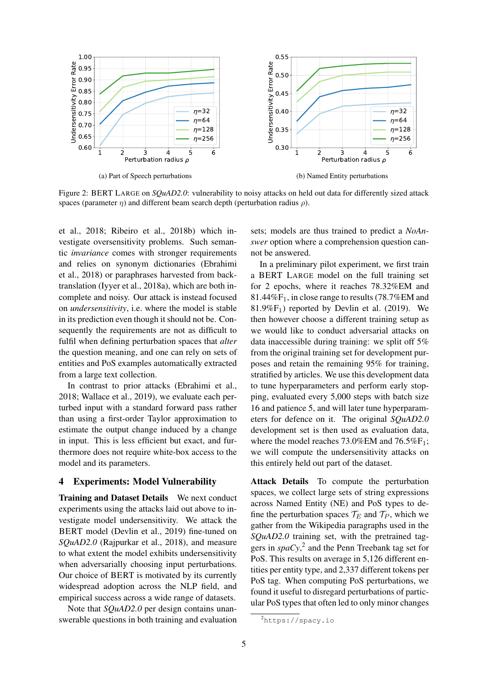

Figure 2: BERT LARGE on *SQuAD2.0*: vulnerability to noisy attacks on held out data for differently sized attack spaces (parameter  $\eta$ ) and different beam search depth (perturbation radius  $\rho$ ).

et al., 2018; Ribeiro et al., 2018b) which investigate oversensitivity problems. Such semantic *invariance* comes with stronger requirements and relies on synonym dictionaries (Ebrahimi et al., 2018) or paraphrases harvested from backtranslation (Iyyer et al., 2018a), which are both incomplete and noisy. Our attack is instead focused on *undersensitivity*, i.e. where the model is stable in its prediction even though it should not be. Consequently the requirements are not as difficult to fulfil when defining perturbation spaces that *alter* the question meaning, and one can rely on sets of entities and PoS examples automatically extracted from a large text collection.

In contrast to prior attacks (Ebrahimi et al., 2018; Wallace et al., 2019), we evaluate each perturbed input with a standard forward pass rather than using a first-order Taylor approximation to estimate the output change induced by a change in input. This is less efficient but exact, and furthermore does not require white-box access to the model and its parameters.

# 4 Experiments: Model Vulnerability

Training and Dataset Details We next conduct experiments using the attacks laid out above to investigate model undersensitivity. We attack the BERT model (Devlin et al., 2019) fine-tuned on *SQuAD2.0* (Rajpurkar et al., 2018), and measure to what extent the model exhibits undersensitivity when adversarially choosing input perturbations. Our choice of BERT is motivated by its currently widespread adoption across the NLP field, and empirical success across a wide range of datasets.

Note that *SQuAD2.0* per design contains unanswerable questions in both training and evaluation sets; models are thus trained to predict a *NoAnswer* option where a comprehension question cannot be answered.

In a preliminary pilot experiment, we first train a BERT LARGE model on the full training set for 2 epochs, where it reaches 78.32%EM and 81.44% $F_1$ , in close range to results (78.7%EM and  $81.9\%$ F<sub>1</sub>) reported by Devlin et al. (2019). We then however choose a different training setup as we would like to conduct adversarial attacks on data inaccessible during training: we split off 5% from the original training set for development purposes and retain the remaining 95% for training, stratified by articles. We use this development data to tune hyperparameters and perform early stopping, evaluated every 5,000 steps with batch size 16 and patience 5, and will later tune hyperparameters for defence on it. The original *SQuAD2.0* development set is then used as evaluation data, where the model reaches  $73.0\%$  EM and  $76.5\%$  F<sub>1</sub>; we will compute the undersensitivity attacks on this entirely held out part of the dataset.

Attack Details To compute the perturbation spaces, we collect large sets of string expressions across Named Entity (NE) and PoS types to define the perturbation spaces  $\mathcal{T}_E$  and  $\mathcal{T}_P$ , which we gather from the Wikipedia paragraphs used in the *SQuAD2.0* training set, with the pretrained taggers in *spaCy*, 2 and the Penn Treebank tag set for PoS. This results on average in 5,126 different entities per entity type, and 2,337 different tokens per PoS tag. When computing PoS perturbations, we found it useful to disregard perturbations of particular PoS types that often led to only minor changes

<sup>2</sup>https://spacy.io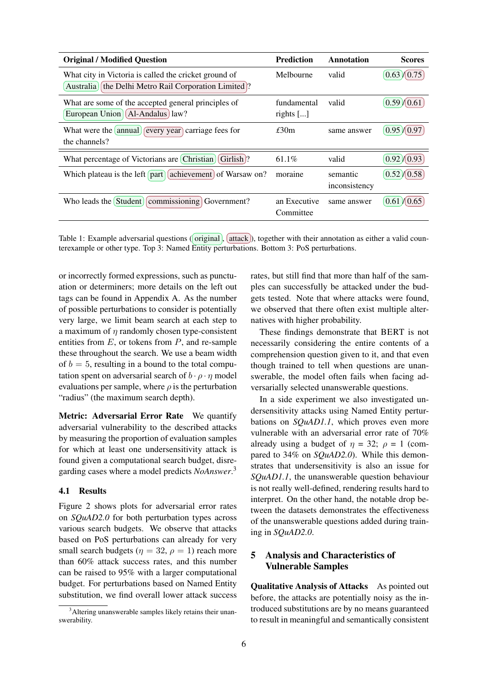| <b>Original / Modified Question</b>                                                                              | <b>Prediction</b>                           | Annotation                | <b>Scores</b> |
|------------------------------------------------------------------------------------------------------------------|---------------------------------------------|---------------------------|---------------|
| What city in Victoria is called the cricket ground of<br>the Delhi Metro Rail Corporation Limited)?<br>Australia | Melbourne                                   | valid                     | (0.63)(0.75)  |
| What are some of the accepted general principles of<br>European Union (Al-Andalus) law?                          | fundamental<br>rights $\left[\ldots\right]$ | valid                     | 0.59(0.61)    |
| What were the [annual]<br>carriage fees for<br>every year<br>the channels?                                       | £30 $m$                                     | same answer               | 0.95(0.97)    |
| What percentage of Victorians are (Christian)<br>Girlish <sup>?</sup>                                            | 61.1%                                       | valid                     | (0.92)(0.93)  |
| Which plateau is the left $part$ (achievement) of Warsaw on?                                                     | moraine                                     | semantic<br>inconsistency | (0.52)(0.58)  |
| commissioning<br>Who leads the Student<br>Government?                                                            | an Executive<br>Committee                   | same answer               | 0.61/0.65     |

Table 1: Example adversarial questions (original), (attack)), together with their annotation as either a valid counterexample or other type. Top 3: Named Entity perturbations. Bottom 3: PoS perturbations.

or incorrectly formed expressions, such as punctuation or determiners; more details on the left out tags can be found in Appendix A. As the number of possible perturbations to consider is potentially very large, we limit beam search at each step to a maximum of  $\eta$  randomly chosen type-consistent entities from  $E$ , or tokens from  $P$ , and re-sample these throughout the search. We use a beam width of  $b = 5$ , resulting in a bound to the total computation spent on adversarial search of  $b \cdot \rho \cdot \eta$  model evaluations per sample, where  $\rho$  is the perturbation "radius" (the maximum search depth).

Metric: Adversarial Error Rate We quantify adversarial vulnerability to the described attacks by measuring the proportion of evaluation samples for which at least one undersensitivity attack is found given a computational search budget, disregarding cases where a model predicts *NoAnswer*. 3

#### 4.1 Results

Figure 2 shows plots for adversarial error rates on *SQuAD2.0* for both perturbation types across various search budgets. We observe that attacks based on PoS perturbations can already for very small search budgets ( $\eta = 32$ ,  $\rho = 1$ ) reach more than 60% attack success rates, and this number can be raised to 95% with a larger computational budget. For perturbations based on Named Entity substitution, we find overall lower attack success rates, but still find that more than half of the samples can successfully be attacked under the budgets tested. Note that where attacks were found, we observed that there often exist multiple alternatives with higher probability.

These findings demonstrate that BERT is not necessarily considering the entire contents of a comprehension question given to it, and that even though trained to tell when questions are unanswerable, the model often fails when facing adversarially selected unanswerable questions.

In a side experiment we also investigated undersensitivity attacks using Named Entity perturbations on *SQuAD1.1*, which proves even more vulnerable with an adversarial error rate of 70% already using a budget of  $n = 32$ ;  $\rho = 1$  (compared to 34% on *SQuAD2.0*). While this demonstrates that undersensitivity is also an issue for *SQuAD1.1*, the unanswerable question behaviour is not really well-defined, rendering results hard to interpret. On the other hand, the notable drop between the datasets demonstrates the effectiveness of the unanswerable questions added during training in *SQuAD2.0*.

# 5 Analysis and Characteristics of Vulnerable Samples

Qualitative Analysis of Attacks As pointed out before, the attacks are potentially noisy as the introduced substitutions are by no means guaranteed to result in meaningful and semantically consistent

<sup>&</sup>lt;sup>3</sup>Altering unanswerable samples likely retains their unanswerability.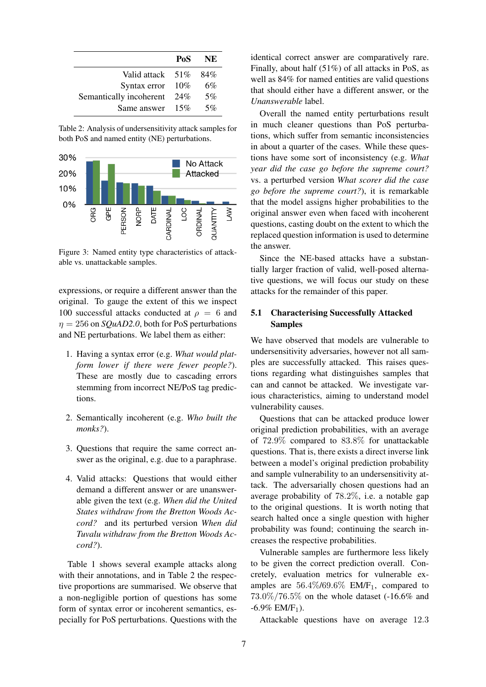|                             | PoS | NE. |
|-----------------------------|-----|-----|
| Valid attack $51\%$         |     | 84% |
| Syntax error $10\%$         |     | 6%  |
| Semantically incoherent 24% |     | 5%  |
| Same answer 15%             |     | 5%  |

Table 2: Analysis of undersensitivity attack samples for both PoS and named entity (NE) perturbations.



Figure 3: Named entity type characteristics of attackable vs. unattackable samples.

expressions, or require a different answer than the original. To gauge the extent of this we inspect 100 successful attacks conducted at  $\rho = 6$  and  $\eta = 256$  on *SQuAD2.0*, both for PoS perturbations and NE perturbations. We label them as either:

- 1. Having a syntax error (e.g. *What would platform lower if there were fewer people?*). These are mostly due to cascading errors stemming from incorrect NE/PoS tag predictions.
- 2. Semantically incoherent (e.g. *Who built the monks?*).
- 3. Questions that require the same correct answer as the original, e.g. due to a paraphrase.
- 4. Valid attacks: Questions that would either demand a different answer or are unanswerable given the text (e.g. *When did the United States withdraw from the Bretton Woods Accord?* and its perturbed version *When did Tuvalu withdraw from the Bretton Woods Accord?*).

Table 1 shows several example attacks along with their annotations, and in Table 2 the respective proportions are summarised. We observe that a non-negligible portion of questions has some form of syntax error or incoherent semantics, especially for PoS perturbations. Questions with the identical correct answer are comparatively rare. Finally, about half (51%) of all attacks in PoS, as well as 84% for named entities are valid questions that should either have a different answer, or the *Unanswerable* label.

Overall the named entity perturbations result in much cleaner questions than PoS perturbations, which suffer from semantic inconsistencies in about a quarter of the cases. While these questions have some sort of inconsistency (e.g. *What year did the case go before the supreme court?* vs. a perturbed version *What scorer did the case go before the supreme court?*), it is remarkable that the model assigns higher probabilities to the original answer even when faced with incoherent questions, casting doubt on the extent to which the replaced question information is used to determine the answer.

Since the NE-based attacks have a substantially larger fraction of valid, well-posed alternative questions, we will focus our study on these attacks for the remainder of this paper.

### 5.1 Characterising Successfully Attacked Samples

We have observed that models are vulnerable to undersensitivity adversaries, however not all samples are successfully attacked. This raises questions regarding what distinguishes samples that can and cannot be attacked. We investigate various characteristics, aiming to understand model vulnerability causes.

Questions that can be attacked produce lower original prediction probabilities, with an average of 72.9% compared to 83.8% for unattackable questions. That is, there exists a direct inverse link between a model's original prediction probability and sample vulnerability to an undersensitivity attack. The adversarially chosen questions had an average probability of 78.2%, i.e. a notable gap to the original questions. It is worth noting that search halted once a single question with higher probability was found; continuing the search increases the respective probabilities.

Vulnerable samples are furthermore less likely to be given the correct prediction overall. Concretely, evaluation metrics for vulnerable examples are  $56.4\%/69.6\%$  EM/F<sub>1</sub>, compared to 73.0%/76.5% on the whole dataset (-16.6% and  $-6.9\%$  EM/F<sub>1</sub>).

Attackable questions have on average 12.3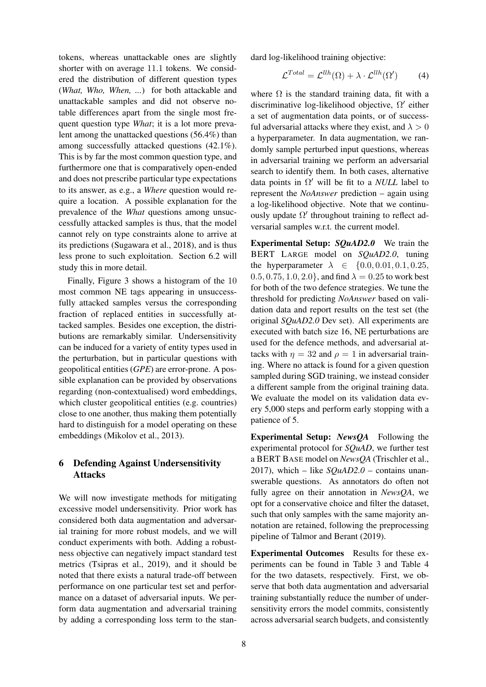tokens, whereas unattackable ones are slightly shorter with on average 11.1 tokens. We considered the distribution of different question types (*What, Who, When, ...*) for both attackable and unattackable samples and did not observe notable differences apart from the single most frequent question type *What*; it is a lot more prevalent among the unattacked questions (56.4%) than among successfully attacked questions (42.1%). This is by far the most common question type, and furthermore one that is comparatively open-ended and does not prescribe particular type expectations to its answer, as e.g., a *Where* question would require a location. A possible explanation for the prevalence of the *What* questions among unsuccessfully attacked samples is thus, that the model cannot rely on type constraints alone to arrive at its predictions (Sugawara et al., 2018), and is thus less prone to such exploitation. Section 6.2 will study this in more detail.

Finally, Figure 3 shows a histogram of the 10 most common NE tags appearing in unsuccessfully attacked samples versus the corresponding fraction of replaced entities in successfully attacked samples. Besides one exception, the distributions are remarkably similar. Undersensitivity can be induced for a variety of entity types used in the perturbation, but in particular questions with geopolitical entities (*GPE*) are error-prone. A possible explanation can be provided by observations regarding (non-contextualised) word embeddings, which cluster geopolitical entities (e.g. countries) close to one another, thus making them potentially hard to distinguish for a model operating on these embeddings (Mikolov et al., 2013).

# 6 Defending Against Undersensitivity Attacks

We will now investigate methods for mitigating excessive model undersensitivity. Prior work has considered both data augmentation and adversarial training for more robust models, and we will conduct experiments with both. Adding a robustness objective can negatively impact standard test metrics (Tsipras et al., 2019), and it should be noted that there exists a natural trade-off between performance on one particular test set and performance on a dataset of adversarial inputs. We perform data augmentation and adversarial training by adding a corresponding loss term to the standard log-likelihood training objective:

$$
\mathcal{L}^{Total} = \mathcal{L}^{llh}(\Omega) + \lambda \cdot \mathcal{L}^{llh}(\Omega')
$$
 (4)

where  $\Omega$  is the standard training data, fit with a discriminative log-likelihood objective,  $\Omega'$  either a set of augmentation data points, or of successful adversarial attacks where they exist, and  $\lambda > 0$ a hyperparameter. In data augmentation, we randomly sample perturbed input questions, whereas in adversarial training we perform an adversarial search to identify them. In both cases, alternative data points in  $\Omega'$  will be fit to a *NULL* label to represent the *NoAnswer* prediction – again using a log-likelihood objective. Note that we continuously update  $\Omega'$  throughout training to reflect adversarial samples w.r.t. the current model.

Experimental Setup: *SQuAD2.0* We train the BERT LARGE model on *SQuAD2.0*, tuning the hyperparameter  $\lambda \in \{0.0, 0.01, 0.1, 0.25,$  $0.5, 0.75, 1.0, 2.0$ , and find  $\lambda = 0.25$  to work best for both of the two defence strategies. We tune the threshold for predicting *NoAnswer* based on validation data and report results on the test set (the original *SQuAD2.0* Dev set). All experiments are executed with batch size 16, NE perturbations are used for the defence methods, and adversarial attacks with  $\eta = 32$  and  $\rho = 1$  in adversarial training. Where no attack is found for a given question sampled during SGD training, we instead consider a different sample from the original training data. We evaluate the model on its validation data every 5,000 steps and perform early stopping with a patience of 5.

Experimental Setup: *NewsQA* Following the experimental protocol for *SQuAD*, we further test a BERT BASE model on *NewsQA* (Trischler et al., 2017), which – like *SQuAD2.0* – contains unanswerable questions. As annotators do often not fully agree on their annotation in *NewsQA*, we opt for a conservative choice and filter the dataset, such that only samples with the same majority annotation are retained, following the preprocessing pipeline of Talmor and Berant (2019).

Experimental Outcomes Results for these experiments can be found in Table 3 and Table 4 for the two datasets, respectively. First, we observe that both data augmentation and adversarial training substantially reduce the number of undersensitivity errors the model commits, consistently across adversarial search budgets, and consistently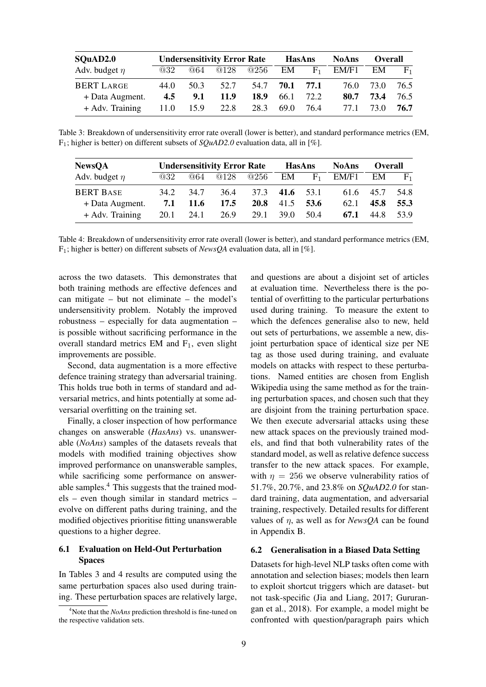| SQuAD2.0           | <b>Undersensitivity Error Rate</b> |      | <b>HasAns</b> |      | <b>NoAns</b> | <b>Overall</b> |       |      |         |
|--------------------|------------------------------------|------|---------------|------|--------------|----------------|-------|------|---------|
| Adv. budget $\eta$ | @32                                | @64  | @128          | @256 | EM           | $F_{1}$        | EM/F1 | EM   | $F_{1}$ |
| <b>BERT LARGE</b>  | 44.0                               | 50.3 | 52.7          | 54.7 | 70.1         | 77.1           | 76.0  | 73.0 | 76.5    |
| + Data Augment.    | 4.5                                | 9.1  | 11.9          | 18.9 | 66.1         | 72.2           | 80.7  | 73.4 | 76.5    |
| $+$ Adv. Training  | 11.0                               | 15.9 | 22.8          | 28.3 | 69.0         | 76.4           | 77 1  | 73 Q | 76.7    |

Table 3: Breakdown of undersensitivity error rate overall (lower is better), and standard performance metrics (EM, F1; higher is better) on different subsets of *SQuAD2.0* evaluation data, all in [%].

| <b>NewsQA</b>      | <b>Undersensitivity Error Rate</b> |      |      |             | <b>HasAns</b> |         | <b>NoAns</b> | <b>Overall</b> |      |
|--------------------|------------------------------------|------|------|-------------|---------------|---------|--------------|----------------|------|
| Adv. budget $\eta$ | @32                                | @64  | @128 | @256        | EM            | $F_{1}$ | EM/F1        | EM             |      |
| <b>BERT BASE</b>   | 34.2                               | 34.7 | 36.4 | 37.3        | 41.6          | 53.1    | 61.6         | 45.7           | 54.8 |
| + Data Augment.    | 7.1                                | 11.6 | 17.5 | <b>20.8</b> | 41.5          | 53.6    | 62.1         | 45.8           | 55.3 |
| $+$ Adv. Training  | 20.1                               | 24.1 | 26.9 | 29.1        | 39.O          | 50.4    | 67.1         | 44.8           | 53.9 |

Table 4: Breakdown of undersensitivity error rate overall (lower is better), and standard performance metrics (EM, F1; higher is better) on different subsets of *NewsQA* evaluation data, all in [%].

across the two datasets. This demonstrates that both training methods are effective defences and can mitigate – but not eliminate – the model's undersensitivity problem. Notably the improved robustness – especially for data augmentation – is possible without sacrificing performance in the overall standard metrics EM and  $F_1$ , even slight improvements are possible.

Second, data augmentation is a more effective defence training strategy than adversarial training. This holds true both in terms of standard and adversarial metrics, and hints potentially at some adversarial overfitting on the training set.

Finally, a closer inspection of how performance changes on answerable (*HasAns*) vs. unanswerable (*NoAns*) samples of the datasets reveals that models with modified training objectives show improved performance on unanswerable samples, while sacrificing some performance on answerable samples.<sup>4</sup> This suggests that the trained models – even though similar in standard metrics – evolve on different paths during training, and the modified objectives prioritise fitting unanswerable questions to a higher degree.

# 6.1 Evaluation on Held-Out Perturbation **Spaces**

In Tables 3 and 4 results are computed using the same perturbation spaces also used during training. These perturbation spaces are relatively large,

and questions are about a disjoint set of articles at evaluation time. Nevertheless there is the potential of overfitting to the particular perturbations used during training. To measure the extent to which the defences generalise also to new, held out sets of perturbations, we assemble a new, disjoint perturbation space of identical size per NE tag as those used during training, and evaluate models on attacks with respect to these perturbations. Named entities are chosen from English Wikipedia using the same method as for the training perturbation spaces, and chosen such that they are disjoint from the training perturbation space. We then execute adversarial attacks using these new attack spaces on the previously trained models, and find that both vulnerability rates of the standard model, as well as relative defence success transfer to the new attack spaces. For example, with  $\eta = 256$  we observe vulnerability ratios of 51.7%, 20.7%, and 23.8% on *SQuAD2.0* for standard training, data augmentation, and adversarial training, respectively. Detailed results for different values of  $\eta$ , as well as for *NewsQA* can be found in Appendix B.

### 6.2 Generalisation in a Biased Data Setting

Datasets for high-level NLP tasks often come with annotation and selection biases; models then learn to exploit shortcut triggers which are dataset- but not task-specific (Jia and Liang, 2017; Gururangan et al., 2018). For example, a model might be confronted with question/paragraph pairs which

<sup>4</sup>Note that the *NoAns* prediction threshold is fine-tuned on the respective validation sets.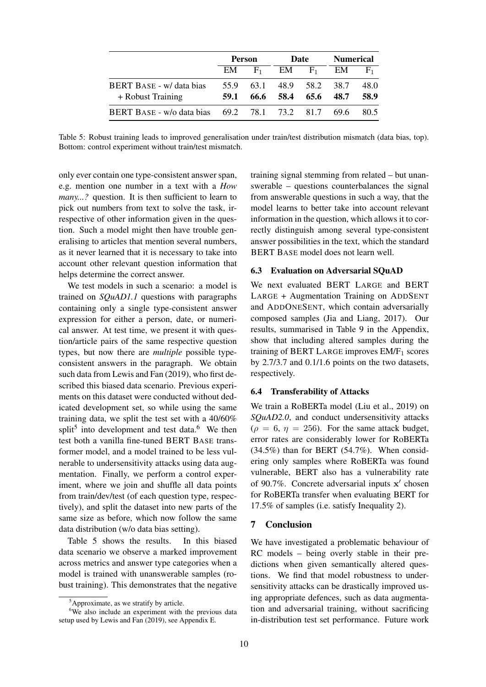|                                               | <b>Person</b> |       |                             | Date | <b>Numerical</b> |              |  |
|-----------------------------------------------|---------------|-------|-----------------------------|------|------------------|--------------|--|
|                                               | EM            | $F_1$ |                             |      | $EM$ $F_1$ $EM$  | $F_{1}$      |  |
| BERT BASE - w/ data bias<br>+ Robust Training | 55.9<br>59.1  | 66.6  | 63.1 48.9 58.2 38.7<br>58.4 | 65.6 | 48.7             | 48.0<br>58.9 |  |
| BERT BASE - w/o data bias 69.2 78.1 73.2 81.7 |               |       |                             |      | 69.6             | 80.5         |  |

Table 5: Robust training leads to improved generalisation under train/test distribution mismatch (data bias, top). Bottom: control experiment without train/test mismatch.

only ever contain one type-consistent answer span, e.g. mention one number in a text with a *How* many...? question. It is then sufficient to learn to pick out numbers from text to solve the task, irrespective of other information given in the question. Such a model might then have trouble generalising to articles that mention several numbers, as it never learned that it is necessary to take into account other relevant question information that helps determine the correct answer.

We test models in such a scenario: a model is trained on *SQuAD1.1* questions with paragraphs containing only a single type-consistent answer expression for either a person, date, or numerical answer. At test time, we present it with question/article pairs of the same respective question types, but now there are *multiple* possible typeconsistent answers in the paragraph. We obtain such data from Lewis and Fan (2019), who first described this biased data scenario. Previous experiments on this dataset were conducted without dedicated development set, so while using the same training data, we split the test set with a 40/60% split<sup>5</sup> into development and test data.<sup>6</sup> We then test both a vanilla fine-tuned BERT BASE transformer model, and a model trained to be less vulnerable to undersensitivity attacks using data augmentation. Finally, we perform a control experiment, where we join and shuffle all data points from train/dev/test (of each question type, respectively), and split the dataset into new parts of the same size as before, which now follow the same data distribution (w/o data bias setting).

Table 5 shows the results. In this biased data scenario we observe a marked improvement across metrics and answer type categories when a model is trained with unanswerable samples (robust training). This demonstrates that the negative training signal stemming from related – but unanswerable – questions counterbalances the signal from answerable questions in such a way, that the model learns to better take into account relevant information in the question, which allows it to correctly distinguish among several type-consistent answer possibilities in the text, which the standard BERT BASE model does not learn well.

#### 6.3 Evaluation on Adversarial SQuAD

We next evaluated BERT LARGE and BERT LARGE + Augmentation Training on ADDSENT and ADDONESENT, which contain adversarially composed samples (Jia and Liang, 2017). Our results, summarised in Table 9 in the Appendix, show that including altered samples during the training of BERT LARGE improves  $EM/F_1$  scores by 2.7/3.7 and 0.1/1.6 points on the two datasets, respectively.

### 6.4 Transferability of Attacks

We train a RoBERTa model (Liu et al., 2019) on *SQuAD2.0*, and conduct undersensitivity attacks  $(\rho = 6, \eta = 256)$ . For the same attack budget, error rates are considerably lower for RoBERTa  $(34.5\%)$  than for BERT  $(54.7\%)$ . When considering only samples where RoBERTa was found vulnerable, BERT also has a vulnerability rate of 90.7%. Concrete adversarial inputs x' chosen for RoBERTa transfer when evaluating BERT for 17.5% of samples (i.e. satisfy Inequality 2).

### 7 Conclusion

We have investigated a problematic behaviour of RC models – being overly stable in their predictions when given semantically altered questions. We find that model robustness to undersensitivity attacks can be drastically improved using appropriate defences, such as data augmentation and adversarial training, without sacrificing in-distribution test set performance. Future work

 $5$ Approximate, as we stratify by article.

<sup>&</sup>lt;sup>6</sup>We also include an experiment with the previous data setup used by Lewis and Fan (2019), see Appendix E.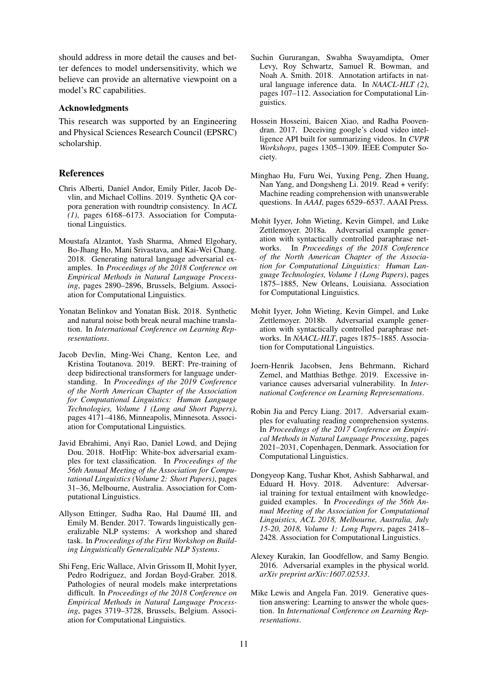should address in more detail the causes and better defences to model undersensitivity, which we believe can provide an alternative viewpoint on a model's RC capabilities.

#### Acknowledgments

This research was supported by an Engineering and Physical Sciences Research Council (EPSRC) scholarship.

### References

- Chris Alberti, Daniel Andor, Emily Pitler, Jacob Devlin, and Michael Collins. 2019. Synthetic QA corpora generation with roundtrip consistency. In *ACL (1)*, pages 6168–6173. Association for Computational Linguistics.
- Moustafa Alzantot, Yash Sharma, Ahmed Elgohary, Bo-Jhang Ho, Mani Srivastava, and Kai-Wei Chang. 2018. Generating natural language adversarial examples. In *Proceedings of the 2018 Conference on Empirical Methods in Natural Language Processing*, pages 2890–2896, Brussels, Belgium. Association for Computational Linguistics.
- Yonatan Belinkov and Yonatan Bisk. 2018. Synthetic and natural noise both break neural machine translation. In *International Conference on Learning Representations*.
- Jacob Devlin, Ming-Wei Chang, Kenton Lee, and Kristina Toutanova. 2019. BERT: Pre-training of deep bidirectional transformers for language understanding. In *Proceedings of the 2019 Conference of the North American Chapter of the Association for Computational Linguistics: Human Language Technologies, Volume 1 (Long and Short Papers)*, pages 4171–4186, Minneapolis, Minnesota. Association for Computational Linguistics.
- Javid Ebrahimi, Anyi Rao, Daniel Lowd, and Dejing Dou. 2018. HotFlip: White-box adversarial examples for text classification. In *Proceedings of the 56th Annual Meeting of the Association for Computational Linguistics (Volume 2: Short Papers)*, pages 31–36, Melbourne, Australia. Association for Computational Linguistics.
- Allyson Ettinger, Sudha Rao, Hal Daumé III, and Emily M. Bender. 2017. Towards linguistically generalizable NLP systems: A workshop and shared task. In *Proceedings of the First Workshop on Building Linguistically Generalizable NLP Systems*.
- Shi Feng, Eric Wallace, Alvin Grissom II, Mohit Iyyer, Pedro Rodriguez, and Jordan Boyd-Graber. 2018. Pathologies of neural models make interpretations difficult. In *Proceedings of the 2018 Conference on Empirical Methods in Natural Language Processing*, pages 3719–3728, Brussels, Belgium. Association for Computational Linguistics.
- Suchin Gururangan, Swabha Swayamdipta, Omer Levy, Roy Schwartz, Samuel R. Bowman, and Noah A. Smith. 2018. Annotation artifacts in natural language inference data. In *NAACL-HLT (2)*, pages 107–112. Association for Computational Linguistics.
- Hossein Hosseini, Baicen Xiao, and Radha Poovendran. 2017. Deceiving google's cloud video intelligence API built for summarizing videos. In *CVPR Workshops*, pages 1305–1309. IEEE Computer Society.
- Minghao Hu, Furu Wei, Yuxing Peng, Zhen Huang, Nan Yang, and Dongsheng Li. 2019. Read + verify: Machine reading comprehension with unanswerable questions. In *AAAI*, pages 6529–6537. AAAI Press.
- Mohit Iyyer, John Wieting, Kevin Gimpel, and Luke Zettlemoyer. 2018a. Adversarial example generation with syntactically controlled paraphrase networks. In *Proceedings of the 2018 Conference of the North American Chapter of the Association for Computational Linguistics: Human Language Technologies, Volume 1 (Long Papers)*, pages 1875–1885, New Orleans, Louisiana. Association for Computational Linguistics.
- Mohit Iyyer, John Wieting, Kevin Gimpel, and Luke Zettlemoyer. 2018b. Adversarial example generation with syntactically controlled paraphrase networks. In *NAACL-HLT*, pages 1875–1885. Association for Computational Linguistics.
- Joern-Henrik Jacobsen, Jens Behrmann, Richard Zemel, and Matthias Bethge. 2019. Excessive invariance causes adversarial vulnerability. In *International Conference on Learning Representations*.
- Robin Jia and Percy Liang. 2017. Adversarial examples for evaluating reading comprehension systems. In *Proceedings of the 2017 Conference on Empirical Methods in Natural Language Processing*, pages 2021–2031, Copenhagen, Denmark. Association for Computational Linguistics.
- Dongyeop Kang, Tushar Khot, Ashish Sabharwal, and Eduard H. Hovy. 2018. Adventure: Adversarial training for textual entailment with knowledgeguided examples. In *Proceedings of the 56th Annual Meeting of the Association for Computational Linguistics, ACL 2018, Melbourne, Australia, July 15-20, 2018, Volume 1: Long Papers*, pages 2418– 2428. Association for Computational Linguistics.
- Alexey Kurakin, Ian Goodfellow, and Samy Bengio. 2016. Adversarial examples in the physical world. *arXiv preprint arXiv:1607.02533*.
- Mike Lewis and Angela Fan. 2019. Generative question answering: Learning to answer the whole question. In *International Conference on Learning Representations*.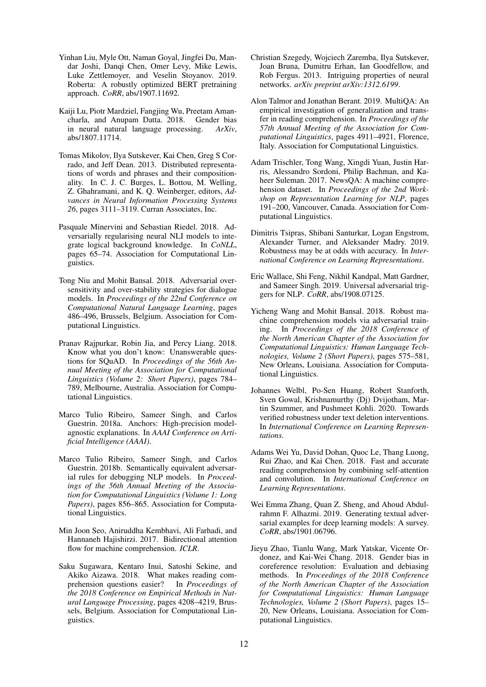- Yinhan Liu, Myle Ott, Naman Goyal, Jingfei Du, Mandar Joshi, Danqi Chen, Omer Levy, Mike Lewis, Luke Zettlemoyer, and Veselin Stoyanov. 2019. Roberta: A robustly optimized BERT pretraining approach. *CoRR*, abs/1907.11692.
- Kaiji Lu, Piotr Mardziel, Fangjing Wu, Preetam Amancharla, and Anupam Datta. 2018. Gender bias in neural natural language processing. *ArXiv*, abs/1807.11714.
- Tomas Mikolov, Ilya Sutskever, Kai Chen, Greg S Corrado, and Jeff Dean. 2013. Distributed representations of words and phrases and their compositionality. In C. J. C. Burges, L. Bottou, M. Welling, Z. Ghahramani, and K. Q. Weinberger, editors, *Advances in Neural Information Processing Systems 26*, pages 3111–3119. Curran Associates, Inc.
- Pasquale Minervini and Sebastian Riedel. 2018. Adversarially regularising neural NLI models to integrate logical background knowledge. In *CoNLL*, pages 65–74. Association for Computational Linguistics.
- Tong Niu and Mohit Bansal. 2018. Adversarial oversensitivity and over-stability strategies for dialogue models. In *Proceedings of the 22nd Conference on Computational Natural Language Learning*, pages 486–496, Brussels, Belgium. Association for Computational Linguistics.
- Pranav Rajpurkar, Robin Jia, and Percy Liang. 2018. Know what you don't know: Unanswerable questions for SQuAD. In *Proceedings of the 56th Annual Meeting of the Association for Computational Linguistics (Volume 2: Short Papers)*, pages 784– 789, Melbourne, Australia. Association for Computational Linguistics.
- Marco Tulio Ribeiro, Sameer Singh, and Carlos Guestrin. 2018a. Anchors: High-precision modelagnostic explanations. In *AAAI Conference on Artificial Intelligence (AAAI)*.
- Marco Tulio Ribeiro, Sameer Singh, and Carlos Guestrin. 2018b. Semantically equivalent adversarial rules for debugging NLP models. In *Proceedings of the 56th Annual Meeting of the Association for Computational Linguistics (Volume 1: Long Papers)*, pages 856–865. Association for Computational Linguistics.
- Min Joon Seo, Aniruddha Kembhavi, Ali Farhadi, and Hannaneh Hajishirzi. 2017. Bidirectional attention flow for machine comprehension. *ICLR*.
- Saku Sugawara, Kentaro Inui, Satoshi Sekine, and Akiko Aizawa. 2018. What makes reading comprehension questions easier? In *Proceedings of the 2018 Conference on Empirical Methods in Natural Language Processing*, pages 4208–4219, Brussels, Belgium. Association for Computational Linguistics.
- Christian Szegedy, Wojciech Zaremba, Ilya Sutskever, Joan Bruna, Dumitru Erhan, Ian Goodfellow, and Rob Fergus. 2013. Intriguing properties of neural networks. *arXiv preprint arXiv:1312.6199*.
- Alon Talmor and Jonathan Berant. 2019. MultiQA: An empirical investigation of generalization and transfer in reading comprehension. In *Proceedings of the 57th Annual Meeting of the Association for Computational Linguistics*, pages 4911–4921, Florence, Italy. Association for Computational Linguistics.
- Adam Trischler, Tong Wang, Xingdi Yuan, Justin Harris, Alessandro Sordoni, Philip Bachman, and Kaheer Suleman. 2017. NewsQA: A machine comprehension dataset. In *Proceedings of the 2nd Workshop on Representation Learning for NLP*, pages 191–200, Vancouver, Canada. Association for Computational Linguistics.
- Dimitris Tsipras, Shibani Santurkar, Logan Engstrom, Alexander Turner, and Aleksander Madry. 2019. Robustness may be at odds with accuracy. In *International Conference on Learning Representations*.
- Eric Wallace, Shi Feng, Nikhil Kandpal, Matt Gardner, and Sameer Singh. 2019. Universal adversarial triggers for NLP. *CoRR*, abs/1908.07125.
- Yicheng Wang and Mohit Bansal. 2018. Robust machine comprehension models via adversarial training. In *Proceedings of the 2018 Conference of the North American Chapter of the Association for Computational Linguistics: Human Language Technologies, Volume 2 (Short Papers)*, pages 575–581, New Orleans, Louisiana. Association for Computational Linguistics.
- Johannes Welbl, Po-Sen Huang, Robert Stanforth, Sven Gowal, Krishnamurthy (Dj) Dvijotham, Martin Szummer, and Pushmeet Kohli. 2020. Towards verified robustness under text deletion interventions. In *International Conference on Learning Representations*.
- Adams Wei Yu, David Dohan, Quoc Le, Thang Luong, Rui Zhao, and Kai Chen. 2018. Fast and accurate reading comprehension by combining self-attention and convolution. In *International Conference on Learning Representations*.
- Wei Emma Zhang, Quan Z. Sheng, and Ahoud Abdulrahmn F. Alhazmi. 2019. Generating textual adversarial examples for deep learning models: A survey. *CoRR*, abs/1901.06796.
- Jieyu Zhao, Tianlu Wang, Mark Yatskar, Vicente Ordonez, and Kai-Wei Chang. 2018. Gender bias in coreference resolution: Evaluation and debiasing methods. In *Proceedings of the 2018 Conference of the North American Chapter of the Association for Computational Linguistics: Human Language Technologies, Volume 2 (Short Papers)*, pages 15– 20, New Orleans, Louisiana. Association for Computational Linguistics.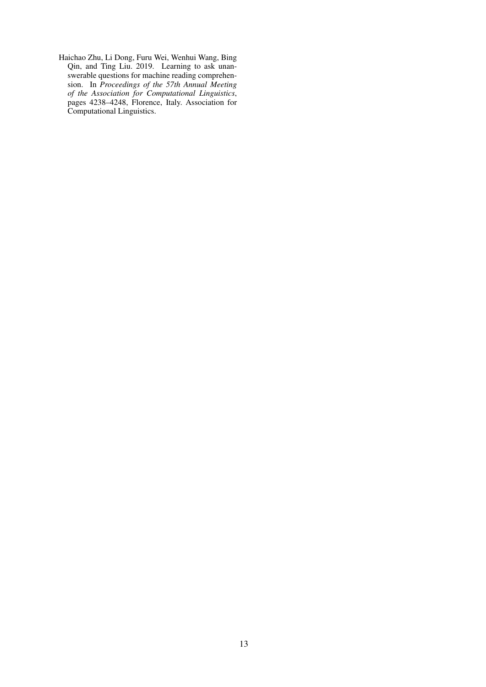Haichao Zhu, Li Dong, Furu Wei, Wenhui Wang, Bing Qin, and Ting Liu. 2019. Learning to ask unanswerable questions for machine reading comprehension. In *Proceedings of the 57th Annual Meeting of the Association for Computational Linguistics*, pages 4238–4248, Florence, Italy. Association for Computational Linguistics.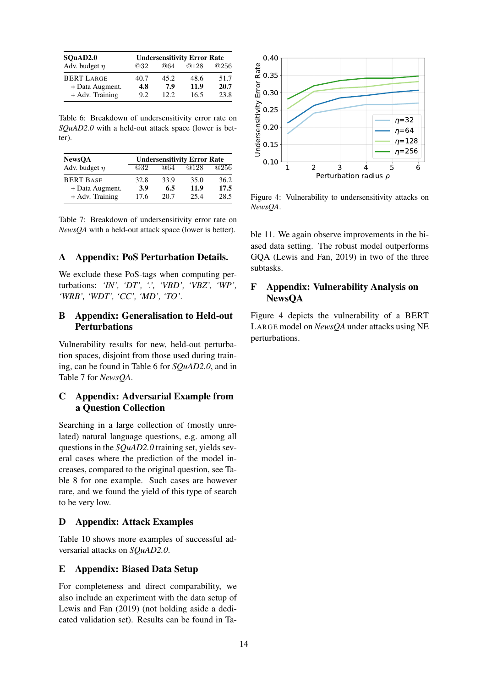| SOuAD2.0           | <b>Undersensitivity Error Rate</b> |      |      |      |  |  |  |
|--------------------|------------------------------------|------|------|------|--|--|--|
| Adv. budget $\eta$ | @32                                | @64  | @128 | @256 |  |  |  |
| <b>BERT LARGE</b>  | 40.7                               | 45.2 | 48.6 | 51.7 |  |  |  |
| + Data Augment.    | 4.8                                | 7.9  | 11.9 | 20.7 |  |  |  |
| + Adv. Training    | 9.2                                | 122  | 16.5 | 23.8 |  |  |  |

Table 6: Breakdown of undersensitivity error rate on *SQuAD2.0* with a held-out attack space (lower is better).

| <b>NewsOA</b>      | <b>Undersensitivity Error Rate</b> |      |      |      |  |  |  |
|--------------------|------------------------------------|------|------|------|--|--|--|
| Adv. budget $\eta$ | @32                                | @64  | @128 | @256 |  |  |  |
| <b>BERT BASE</b>   | 32.8                               | 33.9 | 35.0 | 36.2 |  |  |  |
| + Data Augment.    | 3.9                                | 6.5  | 11.9 | 17.5 |  |  |  |
| + Adv. Training    | 17.6                               | 20.7 | 25.4 | 28.5 |  |  |  |

Table 7: Breakdown of undersensitivity error rate on *NewsQA* with a held-out attack space (lower is better).

### A Appendix: PoS Perturbation Details.

We exclude these PoS-tags when computing perturbations: *'IN', 'DT', '.', 'VBD', 'VBZ', 'WP', 'WRB', 'WDT', 'CC', 'MD', 'TO'*.

## B Appendix: Generalisation to Held-out **Perturbations**

Vulnerability results for new, held-out perturbation spaces, disjoint from those used during training, can be found in Table 6 for *SQuAD2.0*, and in Table 7 for *NewsQA*.

# C Appendix: Adversarial Example from a Question Collection

Searching in a large collection of (mostly unrelated) natural language questions, e.g. among all questions in the *SQuAD2.0* training set, yields several cases where the prediction of the model increases, compared to the original question, see Table 8 for one example. Such cases are however rare, and we found the yield of this type of search to be very low.

## D Appendix: Attack Examples

Table 10 shows more examples of successful adversarial attacks on *SQuAD2.0*.

### E Appendix: Biased Data Setup

For completeness and direct comparability, we also include an experiment with the data setup of Lewis and Fan (2019) (not holding aside a dedicated validation set). Results can be found in Ta-



Figure 4: Vulnerability to undersensitivity attacks on *NewsQA*.

ble 11. We again observe improvements in the biased data setting. The robust model outperforms GQA (Lewis and Fan, 2019) in two of the three subtasks.

# F Appendix: Vulnerability Analysis on NewsQA

Figure 4 depicts the vulnerability of a BERT LARGE model on *NewsQA* under attacks using NE perturbations.